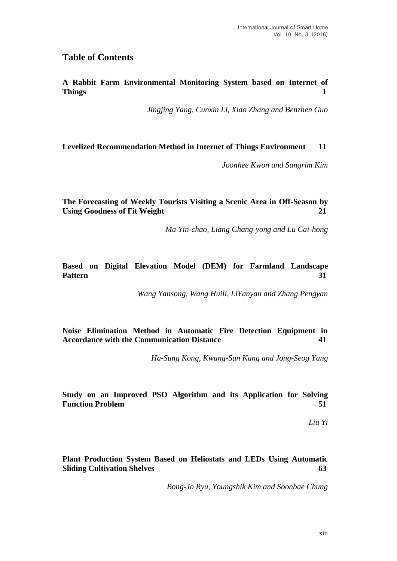# **Table of Contents**

**A Rabbit Farm Environmental Monitoring System based on Internet of Things** 1

*Jingjing Yang, Cunxin Li, Xiao Zhang and Benzhen Guo*

**Levelized Recommendation Method in Internet of Things Environment 11**

*Joonhee Kwon and Sungrim Kim*

**The Forecasting of Weekly Tourists Visiting a Scenic Area in Off-Season by Using Goodness of Fit Weight 21**

*Ma Yin-chao, Liang Chang-yong and Lu Cai-hong*

# **Based on Digital Elevation Model (DEM) for Farmland Landscape Pattern 31**

*Wang Yansong, Wang Huili, LiYanyan and Zhang Pengyan*

# **Noise Elimination Method in Automatic Fire Detection Equipment in Accordance with the Communication Distance 41**

*Ha-Sung Kong, Kwang-Sun Kang and Jong-Seog Yang*

**Study on an Improved PSO Algorithm and its Application for Solving Function Problem 51**

*Liu Yi*

**Plant Production System Based on Heliostats and LEDs Using Automatic Sliding Cultivation Shelves 63**

*Bong-Jo Ryu, Youngshik Kim and Soonbae Chung*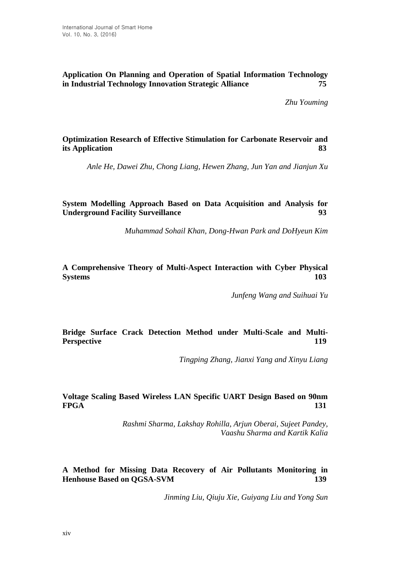## **Application On Planning and Operation of Spatial Information Technology in Industrial Technology Innovation Strategic Alliance 75**

*Zhu Youming*

**Optimization Research of Effective Stimulation for Carbonate Reservoir and its Application 83**

*Anle He, Dawei Zhu, Chong Liang, Hewen Zhang, Jun Yan and Jianjun Xu*

**System Modelling Approach Based on Data Acquisition and Analysis for Underground Facility Surveillance 93**

*Muhammad Sohail Khan, Dong-Hwan Park and DoHyeun Kim*

**A Comprehensive Theory of Multi-Aspect Interaction with Cyber Physical Systems 103**

*Junfeng Wang and Suihuai Yu*

### **Bridge Surface Crack Detection Method under Multi-Scale and Multi-Perspective 119**

*Tingping Zhang, Jianxi Yang and Xinyu Liang*

### **Voltage Scaling Based Wireless LAN Specific UART Design Based on 90nm FPGA 131**

*Rashmi Sharma, Lakshay Rohilla, Arjun Oberai, Sujeet Pandey, Vaashu Sharma and Kartik Kalia*

**A Method for Missing Data Recovery of Air Pollutants Monitoring in Henhouse Based on QGSA-SVM 139**

*Jinming Liu, Qiuju Xie, Guiyang Liu and Yong Sun*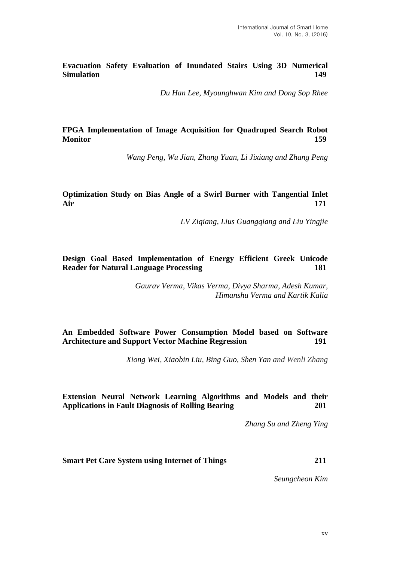**Evacuation Safety Evaluation of Inundated Stairs Using 3D Numerical Simulation 149**

*Du Han Lee, Myounghwan Kim and Dong Sop Rhee*

# **FPGA Implementation of Image Acquisition for Quadruped Search Robot Monitor 159**

*Wang Peng, Wu Jian, Zhang Yuan, Li Jixiang and Zhang Peng*

# **Optimization Study on Bias Angle of a Swirl Burner with Tangential Inlet Air 171**

*LV Ziqiang, Lius Guangqiang and Liu Yingjie*

## **Design Goal Based Implementation of Energy Efficient Greek Unicode Reader for Natural Language Processing 181**

*Gaurav Verma, Vikas Verma, Divya Sharma, Adesh Kumar, Himanshu Verma and Kartik Kalia*

# **An Embedded Software Power Consumption Model based on Software Architecture and Support Vector Machine Regression 191**

*Xiong Wei, Xiaobin Liu, Bing Guo, Shen Yan and Wenli Zhang*

### **Extension Neural Network Learning Algorithms and Models and their Applications in Fault Diagnosis of Rolling Bearing 201**

*Zhang Su and Zheng Ying*

**Smart Pet Care System using Internet of Things 211**

*Seungcheon Kim*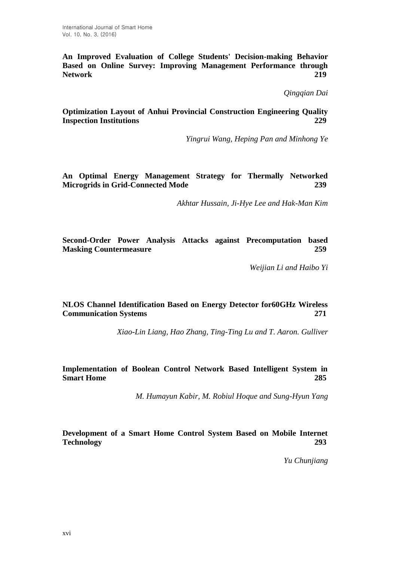**An Improved Evaluation of College Students' Decision-making Behavior Based on Online Survey: Improving Management Performance through Network 219**

*Qingqian Dai*

## **Optimization Layout of Anhui Provincial Construction Engineering Quality Inspection Institutions 229**

*Yingrui Wang, Heping Pan and Minhong Ye*

## **An Optimal Energy Management Strategy for Thermally Networked Microgrids in Grid-Connected Mode 239**

*Akhtar Hussain, Ji-Hye Lee and Hak-Man Kim*

**Second-Order Power Analysis Attacks against Precomputation based Masking Countermeasure 259** 

*Weijian Li and Haibo Yi*

### **NLOS Channel Identification Based on Energy Detector for60GHz Wireless Communication Systems 271**

*Xiao-Lin Liang, Hao Zhang, Ting-Ting Lu and T. Aaron. Gulliver*

# **Implementation of Boolean Control Network Based Intelligent System in Smart Home 285**

*M. Humayun Kabir, M. Robiul Hoque and Sung-Hyun Yang*

# **Development of a Smart Home Control System Based on Mobile Internet Technology 293**

*Yu Chunjiang*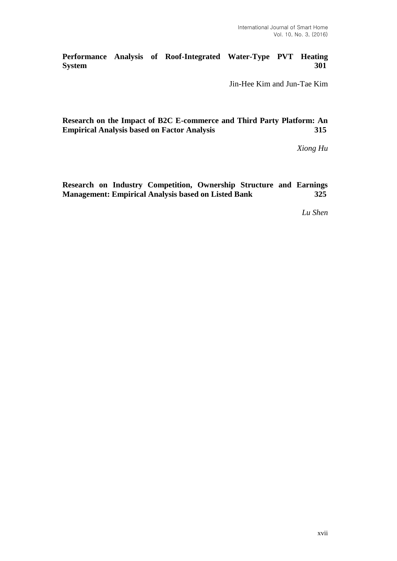**Performance Analysis of Roof-Integrated Water-Type PVT Heating System 301**

Jin-Hee Kim and Jun-Tae Kim

**Research on the Impact of B2C E-commerce and Third Party Platform: An Empirical Analysis based on Factor Analysis 315**

*Xiong Hu*

**Research on Industry Competition, Ownership Structure and Earnings Management: Empirical Analysis based on Listed Bank 325**

*Lu Shen*